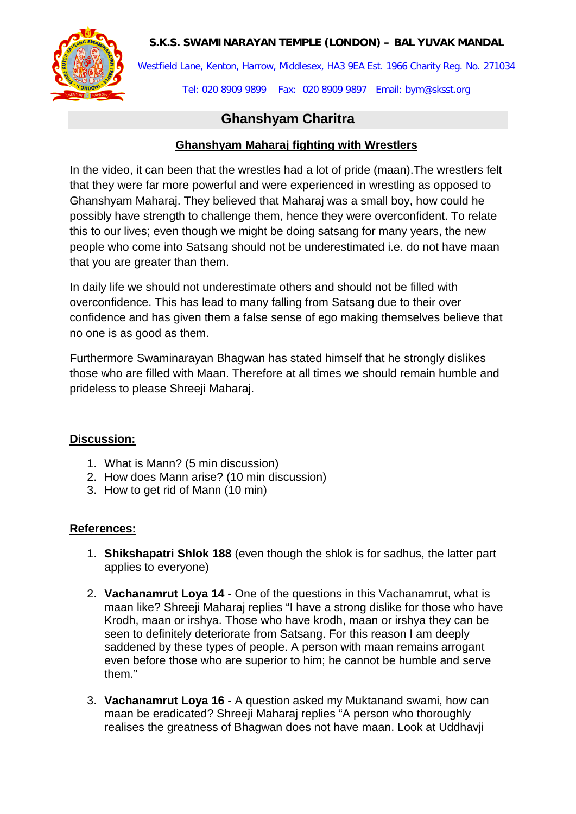### **S.K.S. SWAMINARAYAN TEMPLE (LONDON) – BAL YUVAK MANDAL**



Westfield Lane, Kenton, Harrow, Middlesex, HA3 9EA Est. 1966 Charity Reg. No. 271034

Tel: 020 8909 9899 Fax: 020 8909 9897 Email: bym@sksst.org

# **Ghanshyam Charitra**

## **Ghanshyam Maharaj fighting with Wrestlers**

In the video, it can been that the wrestles had a lot of pride (maan).The wrestlers felt that they were far more powerful and were experienced in wrestling as opposed to Ghanshyam Maharaj. They believed that Maharaj was a small boy, how could he possibly have strength to challenge them, hence they were overconfident. To relate this to our lives; even though we might be doing satsang for many years, the new people who come into Satsang should not be underestimated i.e. do not have maan that you are greater than them.

In daily life we should not underestimate others and should not be filled with overconfidence. This has lead to many falling from Satsang due to their over confidence and has given them a false sense of ego making themselves believe that no one is as good as them.

Furthermore Swaminarayan Bhagwan has stated himself that he strongly dislikes those who are filled with Maan. Therefore at all times we should remain humble and prideless to please Shreeji Maharaj.

### **Discussion:**

- 1. What is Mann? (5 min discussion)
- 2. How does Mann arise? (10 min discussion)
- 3. How to get rid of Mann (10 min)

### **References:**

- 1. **Shikshapatri Shlok 188** (even though the shlok is for sadhus, the latter part applies to everyone)
- 2. **Vachanamrut Loya 14** One of the questions in this Vachanamrut, what is maan like? Shreeji Maharaj replies "I have a strong dislike for those who have Krodh, maan or irshya. Those who have krodh, maan or irshya they can be seen to definitely deteriorate from Satsang. For this reason I am deeply saddened by these types of people. A person with maan remains arrogant even before those who are superior to him; he cannot be humble and serve them."
- 3. **Vachanamrut Loya 16** A question asked my Muktanand swami, how can maan be eradicated? Shreeji Maharaj replies "A person who thoroughly realises the greatness of Bhagwan does not have maan. Look at Uddhavji